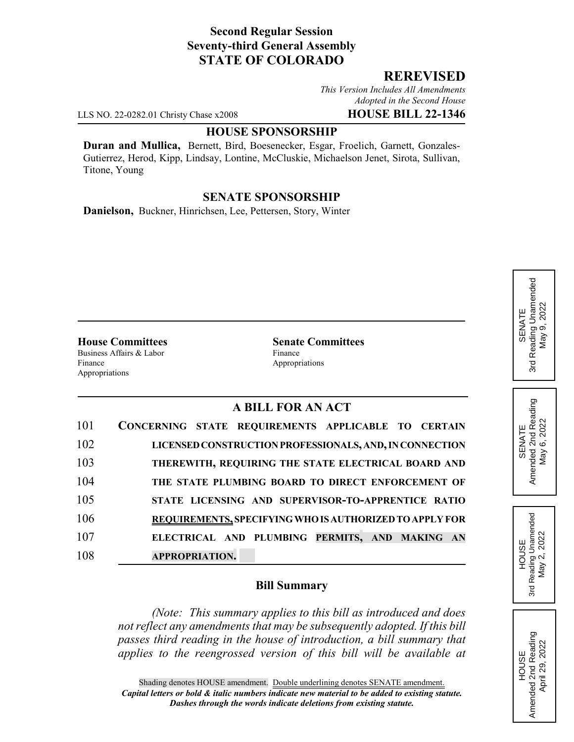# **Second Regular Session Seventy-third General Assembly STATE OF COLORADO**

# **REREVISED**

*This Version Includes All Amendments Adopted in the Second House*

LLS NO. 22-0282.01 Christy Chase x2008 **HOUSE BILL 22-1346**

#### **HOUSE SPONSORSHIP**

**Duran and Mullica,** Bernett, Bird, Boesenecker, Esgar, Froelich, Garnett, Gonzales-Gutierrez, Herod, Kipp, Lindsay, Lontine, McCluskie, Michaelson Jenet, Sirota, Sullivan, Titone, Young

#### **SENATE SPONSORSHIP**

**Danielson,** Buckner, Hinrichsen, Lee, Pettersen, Story, Winter

Business Affairs & Labor Finance Finance Appropriations Appropriations

**House Committees Senate Committees**

## **A BILL FOR AN ACT**

| 101 | CONCERNING STATE REQUIREMENTS APPLICABLE TO CERTAIN     |
|-----|---------------------------------------------------------|
| 102 | LICENSED CONSTRUCTION PROFESSIONALS, AND, IN CONNECTION |
| 103 | THEREWITH, REQUIRING THE STATE ELECTRICAL BOARD AND     |
| 104 | THE STATE PLUMBING BOARD TO DIRECT ENFORCEMENT OF       |
| 105 | STATE LICENSING AND SUPERVISOR-TO-APPRENTICE RATIO      |
| 106 | REQUIREMENTS, SPECIFYING WHO IS AUTHORIZED TO APPLY FOR |
| 107 | ELECTRICAL AND PLUMBING PERMITS, AND MAKING AN          |
| 108 | <b>APPROPRIATION.</b>                                   |

#### **Bill Summary**

*(Note: This summary applies to this bill as introduced and does not reflect any amendments that may be subsequently adopted. If this bill passes third reading in the house of introduction, a bill summary that applies to the reengrossed version of this bill will be available at*

# Reading Unamended 3rd Reading Unamended May 9, 2022 May 9, 2022 SENATE შ<br>ა

SENATE<br>Amended 2nd Reading<br>May 6, 2022 Amended 2nd Reading May 6, 2022

HOUSE<br>Reading Unamended<br>May 2, 2022 3rd Reading Unamended May 2, 2022

3rd

HOUSE<br>Amended 2nd Reading Amended 2nd Reading April 29, 2022

April 29, 2022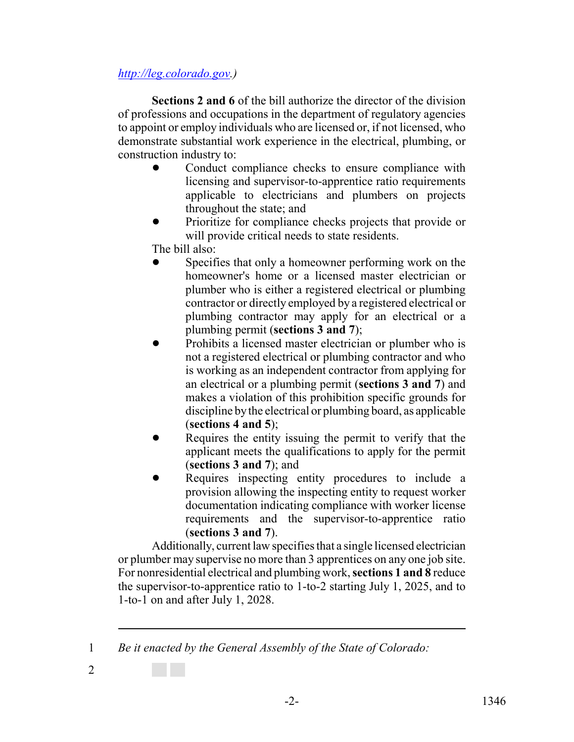## *http://leg.colorado.gov.)*

**Sections 2 and 6** of the bill authorize the director of the division of professions and occupations in the department of regulatory agencies to appoint or employ individuals who are licensed or, if not licensed, who demonstrate substantial work experience in the electrical, plumbing, or construction industry to:

- Conduct compliance checks to ensure compliance with licensing and supervisor-to-apprentice ratio requirements applicable to electricians and plumbers on projects throughout the state; and
- ! Prioritize for compliance checks projects that provide or will provide critical needs to state residents.
- The bill also:
- Specifies that only a homeowner performing work on the homeowner's home or a licensed master electrician or plumber who is either a registered electrical or plumbing contractor or directly employed by a registered electrical or plumbing contractor may apply for an electrical or a plumbing permit (**sections 3 and 7**);
- Prohibits a licensed master electrician or plumber who is not a registered electrical or plumbing contractor and who is working as an independent contractor from applying for an electrical or a plumbing permit (**sections 3 and 7**) and makes a violation of this prohibition specific grounds for discipline by the electrical or plumbing board, as applicable (**sections 4 and 5**);
- Requires the entity issuing the permit to verify that the applicant meets the qualifications to apply for the permit (**sections 3 and 7**); and
- Requires inspecting entity procedures to include a provision allowing the inspecting entity to request worker documentation indicating compliance with worker license requirements and the supervisor-to-apprentice ratio (**sections 3 and 7**).

Additionally, current law specifies that a single licensed electrician or plumber may supervise no more than 3 apprentices on any one job site. For nonresidential electrical and plumbing work, **sections 1 and 8** reduce the supervisor-to-apprentice ratio to 1-to-2 starting July 1, 2025, and to 1-to-1 on and after July 1, 2028.

1 *Be it enacted by the General Assembly of the State of Colorado:*

2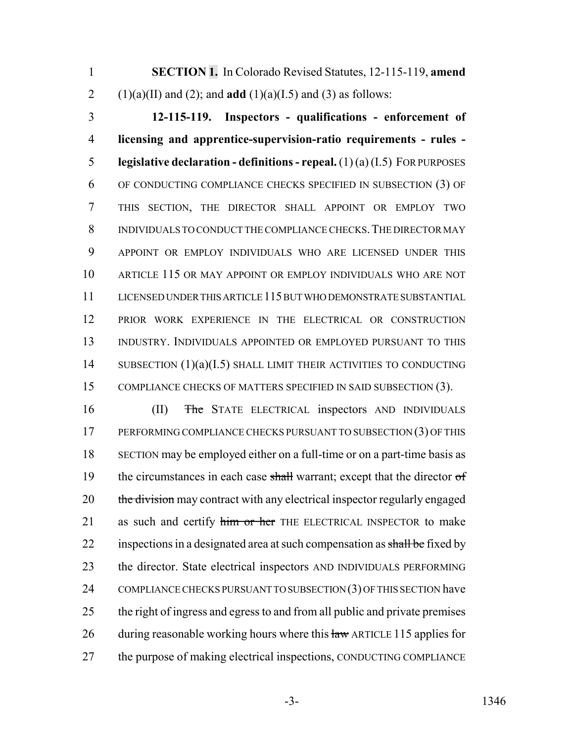1 **SECTION 1.** In Colorado Revised Statutes, 12-115-119, **amend** 2 (1)(a)(II) and (2); and **add** (1)(a)(I.5) and (3) as follows:

 **12-115-119. Inspectors - qualifications - enforcement of licensing and apprentice-supervision-ratio requirements - rules - legislative declaration - definitions - repeal.** (1) (a) (I.5) FOR PURPOSES OF CONDUCTING COMPLIANCE CHECKS SPECIFIED IN SUBSECTION (3) OF THIS SECTION, THE DIRECTOR SHALL APPOINT OR EMPLOY TWO INDIVIDUALS TO CONDUCT THE COMPLIANCE CHECKS.THE DIRECTOR MAY APPOINT OR EMPLOY INDIVIDUALS WHO ARE LICENSED UNDER THIS ARTICLE 115 OR MAY APPOINT OR EMPLOY INDIVIDUALS WHO ARE NOT LICENSED UNDER THIS ARTICLE 115 BUT WHO DEMONSTRATE SUBSTANTIAL PRIOR WORK EXPERIENCE IN THE ELECTRICAL OR CONSTRUCTION INDUSTRY. INDIVIDUALS APPOINTED OR EMPLOYED PURSUANT TO THIS 14 SUBSECTION (1)(a)(I.5) SHALL LIMIT THEIR ACTIVITIES TO CONDUCTING 15 COMPLIANCE CHECKS OF MATTERS SPECIFIED IN SAID SUBSECTION (3).

16 (II) The STATE ELECTRICAL inspectors AND INDIVIDUALS 17 PERFORMING COMPLIANCE CHECKS PURSUANT TO SUBSECTION (3) OF THIS 18 SECTION may be employed either on a full-time or on a part-time basis as 19 the circumstances in each case shall warrant; except that the director of 20 the division may contract with any electrical inspector regularly engaged 21 as such and certify him or her THE ELECTRICAL INSPECTOR to make 22 inspections in a designated area at such compensation as shall be fixed by 23 the director. State electrical inspectors AND INDIVIDUALS PERFORMING 24 COMPLIANCE CHECKS PURSUANT TO SUBSECTION (3) OF THIS SECTION have 25 the right of ingress and egress to and from all public and private premises 26 during reasonable working hours where this law ARTICLE 115 applies for 27 the purpose of making electrical inspections, CONDUCTING COMPLIANCE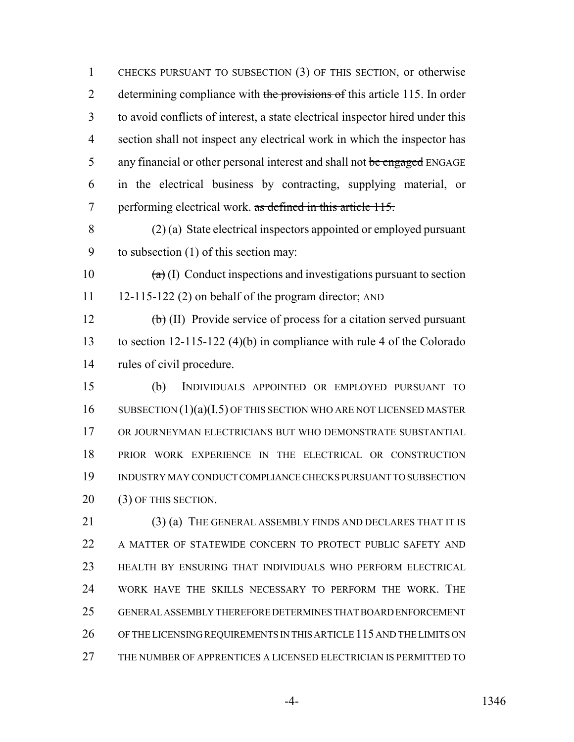CHECKS PURSUANT TO SUBSECTION (3) OF THIS SECTION, or otherwise 2 determining compliance with the provisions of this article 115. In order to avoid conflicts of interest, a state electrical inspector hired under this section shall not inspect any electrical work in which the inspector has 5 any financial or other personal interest and shall not be engaged ENGAGE in the electrical business by contracting, supplying material, or 7 performing electrical work. as defined in this article 115.

 (2) (a) State electrical inspectors appointed or employed pursuant to subsection (1) of this section may:

10  $(a)$  (I) Conduct inspections and investigations pursuant to section 11 12-115-122 (2) on behalf of the program director; AND

12  $\left(\frac{b}{b}\right)$  (II) Provide service of process for a citation served pursuant to section 12-115-122 (4)(b) in compliance with rule 4 of the Colorado rules of civil procedure.

 (b) INDIVIDUALS APPOINTED OR EMPLOYED PURSUANT TO 16 SUBSECTION (1)(a)(I.5) OF THIS SECTION WHO ARE NOT LICENSED MASTER OR JOURNEYMAN ELECTRICIANS BUT WHO DEMONSTRATE SUBSTANTIAL PRIOR WORK EXPERIENCE IN THE ELECTRICAL OR CONSTRUCTION INDUSTRY MAY CONDUCT COMPLIANCE CHECKS PURSUANT TO SUBSECTION 20 (3) OF THIS SECTION.

 (3) (a) THE GENERAL ASSEMBLY FINDS AND DECLARES THAT IT IS 22 A MATTER OF STATEWIDE CONCERN TO PROTECT PUBLIC SAFETY AND HEALTH BY ENSURING THAT INDIVIDUALS WHO PERFORM ELECTRICAL WORK HAVE THE SKILLS NECESSARY TO PERFORM THE WORK. THE GENERAL ASSEMBLY THEREFORE DETERMINES THAT BOARD ENFORCEMENT OF THE LICENSING REQUIREMENTS IN THIS ARTICLE 115 AND THE LIMITS ON THE NUMBER OF APPRENTICES A LICENSED ELECTRICIAN IS PERMITTED TO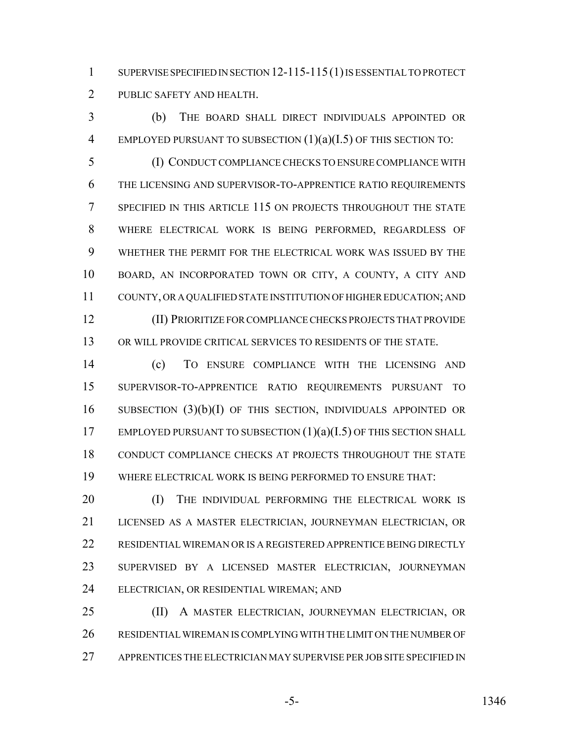1 SUPERVISE SPECIFIED IN SECTION 12-115-115(1) IS ESSENTIAL TO PROTECT PUBLIC SAFETY AND HEALTH.

 (b) THE BOARD SHALL DIRECT INDIVIDUALS APPOINTED OR 4 EMPLOYED PURSUANT TO SUBSECTION  $(1)(a)(I.5)$  OF THIS SECTION TO:

 (I) CONDUCT COMPLIANCE CHECKS TO ENSURE COMPLIANCE WITH THE LICENSING AND SUPERVISOR-TO-APPRENTICE RATIO REQUIREMENTS SPECIFIED IN THIS ARTICLE 115 ON PROJECTS THROUGHOUT THE STATE WHERE ELECTRICAL WORK IS BEING PERFORMED, REGARDLESS OF WHETHER THE PERMIT FOR THE ELECTRICAL WORK WAS ISSUED BY THE BOARD, AN INCORPORATED TOWN OR CITY, A COUNTY, A CITY AND COUNTY, OR A QUALIFIED STATE INSTITUTION OF HIGHER EDUCATION; AND (II) PRIORITIZE FOR COMPLIANCE CHECKS PROJECTS THAT PROVIDE OR WILL PROVIDE CRITICAL SERVICES TO RESIDENTS OF THE STATE.

 (c) TO ENSURE COMPLIANCE WITH THE LICENSING AND SUPERVISOR-TO-APPRENTICE RATIO REQUIREMENTS PURSUANT TO SUBSECTION (3)(b)(I) OF THIS SECTION, INDIVIDUALS APPOINTED OR 17 EMPLOYED PURSUANT TO SUBSECTION  $(1)(a)(I.5)$  OF THIS SECTION SHALL CONDUCT COMPLIANCE CHECKS AT PROJECTS THROUGHOUT THE STATE WHERE ELECTRICAL WORK IS BEING PERFORMED TO ENSURE THAT:

20 (I) THE INDIVIDUAL PERFORMING THE ELECTRICAL WORK IS LICENSED AS A MASTER ELECTRICIAN, JOURNEYMAN ELECTRICIAN, OR RESIDENTIAL WIREMAN OR IS A REGISTERED APPRENTICE BEING DIRECTLY SUPERVISED BY A LICENSED MASTER ELECTRICIAN, JOURNEYMAN ELECTRICIAN, OR RESIDENTIAL WIREMAN; AND

 (II) A MASTER ELECTRICIAN, JOURNEYMAN ELECTRICIAN, OR RESIDENTIAL WIREMAN IS COMPLYING WITH THE LIMIT ON THE NUMBER OF APPRENTICES THE ELECTRICIAN MAY SUPERVISE PER JOB SITE SPECIFIED IN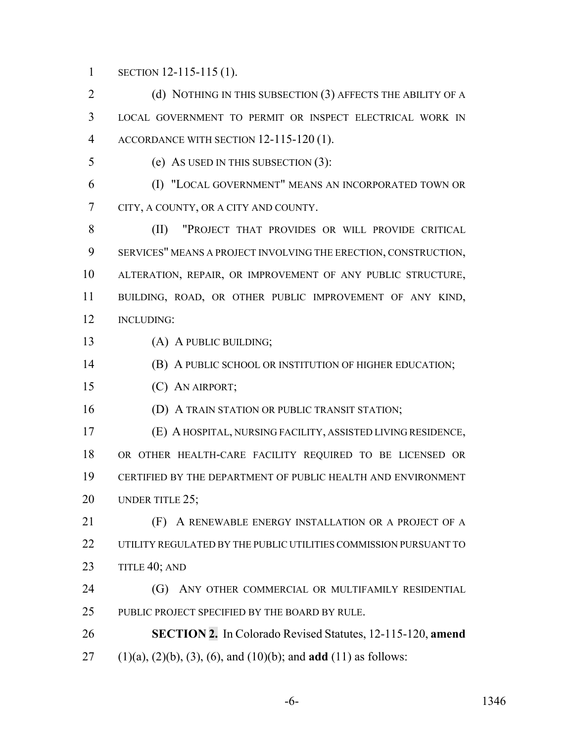1 SECTION 12-115-115 (1).

2 (d) NOTHING IN THIS SUBSECTION (3) AFFECTS THE ABILITY OF A LOCAL GOVERNMENT TO PERMIT OR INSPECT ELECTRICAL WORK IN ACCORDANCE WITH SECTION 12-115-120 (1).

(e) AS USED IN THIS SUBSECTION (3):

 (I) "LOCAL GOVERNMENT" MEANS AN INCORPORATED TOWN OR CITY, A COUNTY, OR A CITY AND COUNTY.

 (II) "PROJECT THAT PROVIDES OR WILL PROVIDE CRITICAL SERVICES" MEANS A PROJECT INVOLVING THE ERECTION, CONSTRUCTION, ALTERATION, REPAIR, OR IMPROVEMENT OF ANY PUBLIC STRUCTURE, BUILDING, ROAD, OR OTHER PUBLIC IMPROVEMENT OF ANY KIND, INCLUDING:

(A) A PUBLIC BUILDING;

(B) A PUBLIC SCHOOL OR INSTITUTION OF HIGHER EDUCATION;

(C) AN AIRPORT;

**(D) A TRAIN STATION OR PUBLIC TRANSIT STATION;** 

 (E) A HOSPITAL, NURSING FACILITY, ASSISTED LIVING RESIDENCE, OR OTHER HEALTH-CARE FACILITY REQUIRED TO BE LICENSED OR CERTIFIED BY THE DEPARTMENT OF PUBLIC HEALTH AND ENVIRONMENT 20 UNDER TITLE 25;

 (F) A RENEWABLE ENERGY INSTALLATION OR A PROJECT OF A UTILITY REGULATED BY THE PUBLIC UTILITIES COMMISSION PURSUANT TO 23 TITLE 40; AND

**(G)** ANY OTHER COMMERCIAL OR MULTIFAMILY RESIDENTIAL 25 PUBLIC PROJECT SPECIFIED BY THE BOARD BY RULE.

 **SECTION 2.** In Colorado Revised Statutes, 12-115-120, **amend** (1)(a), (2)(b), (3), (6), and (10)(b); and **add** (11) as follows: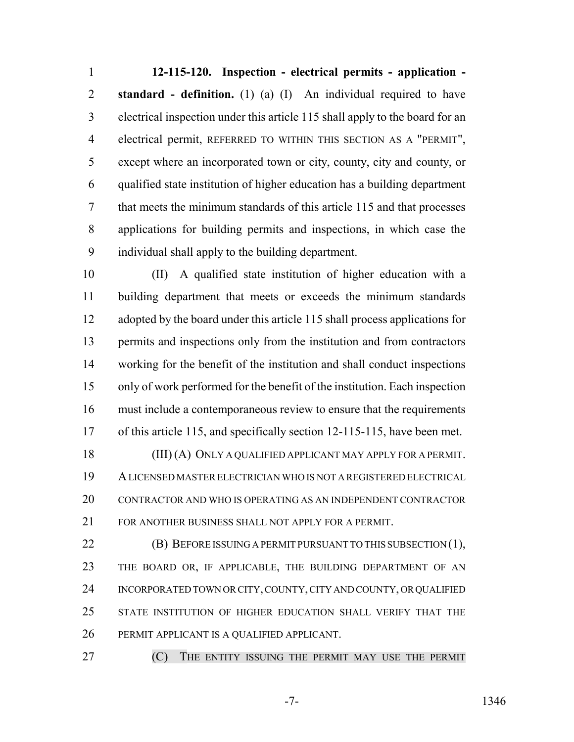**12-115-120. Inspection - electrical permits - application - standard - definition.** (1) (a) (I) An individual required to have electrical inspection under this article 115 shall apply to the board for an electrical permit, REFERRED TO WITHIN THIS SECTION AS A "PERMIT", except where an incorporated town or city, county, city and county, or qualified state institution of higher education has a building department that meets the minimum standards of this article 115 and that processes applications for building permits and inspections, in which case the individual shall apply to the building department.

 (II) A qualified state institution of higher education with a building department that meets or exceeds the minimum standards adopted by the board under this article 115 shall process applications for permits and inspections only from the institution and from contractors working for the benefit of the institution and shall conduct inspections only of work performed for the benefit of the institution. Each inspection must include a contemporaneous review to ensure that the requirements of this article 115, and specifically section 12-115-115, have been met. (III) (A) ONLY A QUALIFIED APPLICANT MAY APPLY FOR A PERMIT. A LICENSED MASTER ELECTRICIAN WHO IS NOT A REGISTERED ELECTRICAL CONTRACTOR AND WHO IS OPERATING AS AN INDEPENDENT CONTRACTOR FOR ANOTHER BUSINESS SHALL NOT APPLY FOR A PERMIT.

**(B) BEFORE ISSUING A PERMIT PURSUANT TO THIS SUBSECTION (1),** 23 THE BOARD OR, IF APPLICABLE, THE BUILDING DEPARTMENT OF AN INCORPORATED TOWN OR CITY, COUNTY, CITY AND COUNTY, OR QUALIFIED STATE INSTITUTION OF HIGHER EDUCATION SHALL VERIFY THAT THE PERMIT APPLICANT IS A QUALIFIED APPLICANT.

**(C)** THE ENTITY ISSUING THE PERMIT MAY USE THE PERMIT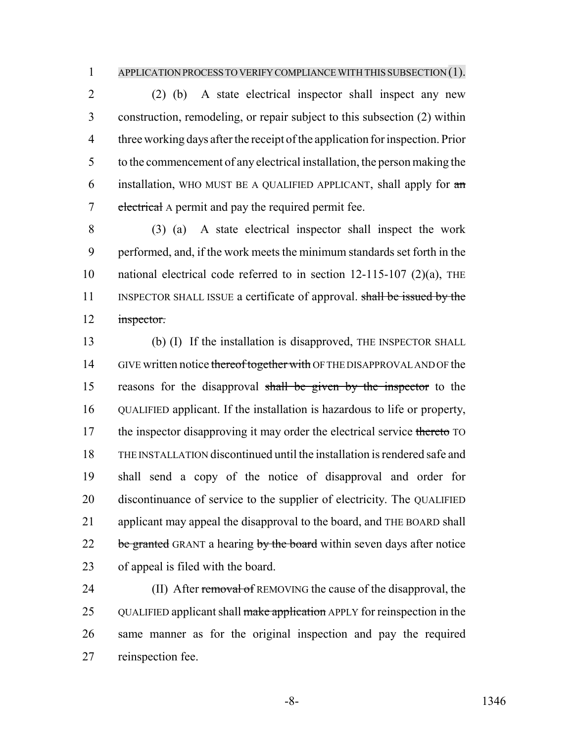#### APPLICATION PROCESS TO VERIFY COMPLIANCE WITH THIS SUBSECTION (1).

 (2) (b) A state electrical inspector shall inspect any new construction, remodeling, or repair subject to this subsection (2) within three working days after the receipt of the application for inspection. Prior to the commencement of any electrical installation, the person making the 6 installation, WHO MUST BE A QUALIFIED APPLICANT, shall apply for  $\pi$ 7 electrical A permit and pay the required permit fee.

 (3) (a) A state electrical inspector shall inspect the work performed, and, if the work meets the minimum standards set forth in the national electrical code referred to in section 12-115-107 (2)(a), THE 11 INSPECTOR SHALL ISSUE a certificate of approval. shall be issued by the 12 inspector.

 (b) (I) If the installation is disapproved, THE INSPECTOR SHALL 14 GIVE written notice thereof together with OF THE DISAPPROVAL AND OF the reasons for the disapproval shall be given by the inspector to the QUALIFIED applicant. If the installation is hazardous to life or property, 17 the inspector disapproving it may order the electrical service thereto TO THE INSTALLATION discontinued until the installation is rendered safe and shall send a copy of the notice of disapproval and order for discontinuance of service to the supplier of electricity. The QUALIFIED applicant may appeal the disapproval to the board, and THE BOARD shall be granted GRANT a hearing by the board within seven days after notice of appeal is filed with the board.

24 (II) After removal of REMOVING the cause of the disapproval, the 25 QUALIFIED applicant shall make application APPLY for reinspection in the same manner as for the original inspection and pay the required reinspection fee.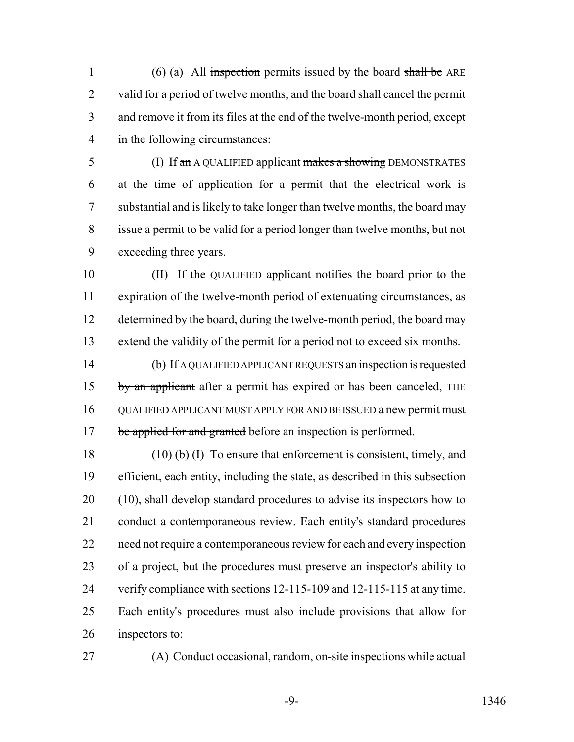1 (6) (a) All inspection permits issued by the board shall be ARE valid for a period of twelve months, and the board shall cancel the permit and remove it from its files at the end of the twelve-month period, except in the following circumstances:

5 (I) If an AQUALIFIED applicant makes a showing DEMONSTRATES at the time of application for a permit that the electrical work is substantial and is likely to take longer than twelve months, the board may issue a permit to be valid for a period longer than twelve months, but not exceeding three years.

 (II) If the QUALIFIED applicant notifies the board prior to the expiration of the twelve-month period of extenuating circumstances, as 12 determined by the board, during the twelve-month period, the board may extend the validity of the permit for a period not to exceed six months.

14 (b) If A QUALIFIED APPLICANT REQUESTS an inspection is requested 15 by an applicant after a permit has expired or has been canceled, THE 16 QUALIFIED APPLICANT MUST APPLY FOR AND BE ISSUED a new permit must 17 be applied for and granted before an inspection is performed.

 (10) (b) (I) To ensure that enforcement is consistent, timely, and efficient, each entity, including the state, as described in this subsection (10), shall develop standard procedures to advise its inspectors how to conduct a contemporaneous review. Each entity's standard procedures need not require a contemporaneous review for each and every inspection of a project, but the procedures must preserve an inspector's ability to verify compliance with sections 12-115-109 and 12-115-115 at any time. Each entity's procedures must also include provisions that allow for inspectors to:

(A) Conduct occasional, random, on-site inspections while actual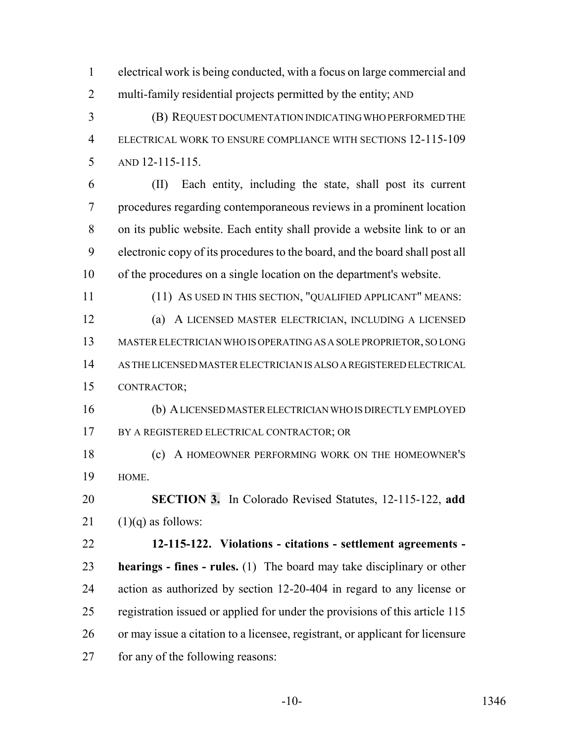electrical work is being conducted, with a focus on large commercial and multi-family residential projects permitted by the entity; AND

 (B) REQUEST DOCUMENTATION INDICATING WHO PERFORMED THE ELECTRICAL WORK TO ENSURE COMPLIANCE WITH SECTIONS 12-115-109 AND 12-115-115.

 (II) Each entity, including the state, shall post its current procedures regarding contemporaneous reviews in a prominent location on its public website. Each entity shall provide a website link to or an electronic copy of its procedures to the board, and the board shall post all of the procedures on a single location on the department's website.

(11) AS USED IN THIS SECTION, "QUALIFIED APPLICANT" MEANS:

 (a) A LICENSED MASTER ELECTRICIAN, INCLUDING A LICENSED MASTER ELECTRICIAN WHO IS OPERATING AS A SOLE PROPRIETOR, SO LONG AS THE LICENSED MASTER ELECTRICIAN IS ALSO A REGISTERED ELECTRICAL CONTRACTOR;

 (b) A LICENSED MASTER ELECTRICIAN WHO IS DIRECTLY EMPLOYED 17 BY A REGISTERED ELECTRICAL CONTRACTOR; OR

 (c) A HOMEOWNER PERFORMING WORK ON THE HOMEOWNER'S HOME.

 **SECTION 3.** In Colorado Revised Statutes, 12-115-122, **add** 21  $(1)(q)$  as follows:

 **12-115-122. Violations - citations - settlement agreements - hearings - fines - rules.** (1) The board may take disciplinary or other action as authorized by section 12-20-404 in regard to any license or registration issued or applied for under the provisions of this article 115 or may issue a citation to a licensee, registrant, or applicant for licensure for any of the following reasons: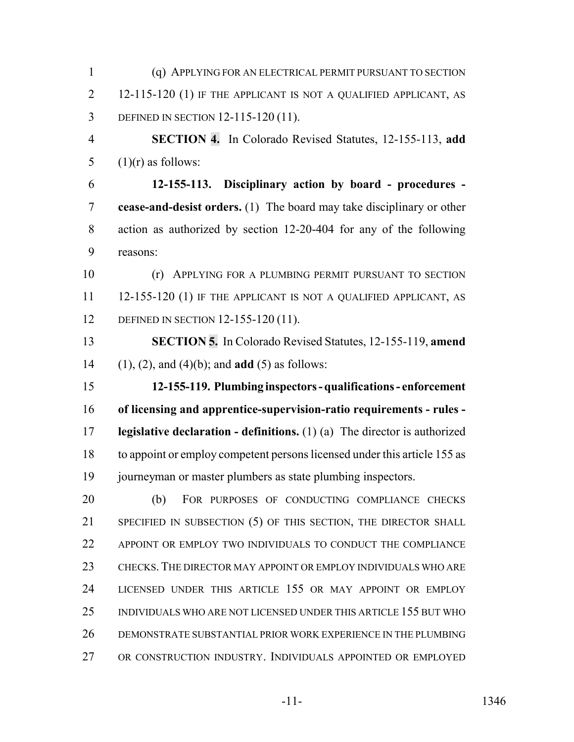(q) APPLYING FOR AN ELECTRICAL PERMIT PURSUANT TO SECTION 12-115-120 (1) IF THE APPLICANT IS NOT A QUALIFIED APPLICANT, AS DEFINED IN SECTION 12-115-120 (11). **SECTION 4.** In Colorado Revised Statutes, 12-155-113, **add**  $(1)(r)$  as follows: **12-155-113. Disciplinary action by board - procedures - cease-and-desist orders.** (1) The board may take disciplinary or other action as authorized by section 12-20-404 for any of the following reasons: (r) APPLYING FOR A PLUMBING PERMIT PURSUANT TO SECTION 11 12-155-120 (1) IF THE APPLICANT IS NOT A QUALIFIED APPLICANT, AS 12 DEFINED IN SECTION 12-155-120 (11). **SECTION 5.** In Colorado Revised Statutes, 12-155-119, **amend** (1), (2), and (4)(b); and **add** (5) as follows: **12-155-119. Plumbing inspectors - qualifications - enforcement of licensing and apprentice-supervision-ratio requirements - rules - legislative declaration - definitions.** (1) (a) The director is authorized to appoint or employ competent persons licensed under this article 155 as journeyman or master plumbers as state plumbing inspectors. (b) FOR PURPOSES OF CONDUCTING COMPLIANCE CHECKS SPECIFIED IN SUBSECTION (5) OF THIS SECTION, THE DIRECTOR SHALL 22 APPOINT OR EMPLOY TWO INDIVIDUALS TO CONDUCT THE COMPLIANCE CHECKS. THE DIRECTOR MAY APPOINT OR EMPLOY INDIVIDUALS WHO ARE LICENSED UNDER THIS ARTICLE 155 OR MAY APPOINT OR EMPLOY INDIVIDUALS WHO ARE NOT LICENSED UNDER THIS ARTICLE 155 BUT WHO DEMONSTRATE SUBSTANTIAL PRIOR WORK EXPERIENCE IN THE PLUMBING OR CONSTRUCTION INDUSTRY. INDIVIDUALS APPOINTED OR EMPLOYED

-11- 1346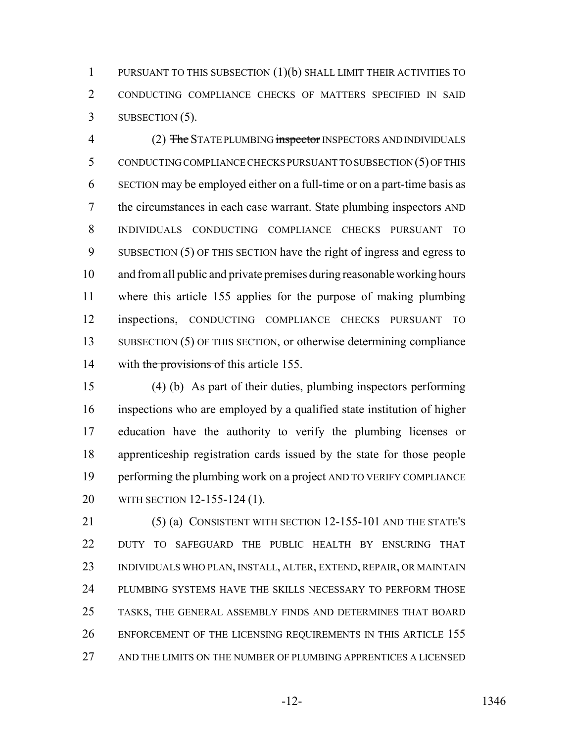PURSUANT TO THIS SUBSECTION (1)(b) SHALL LIMIT THEIR ACTIVITIES TO CONDUCTING COMPLIANCE CHECKS OF MATTERS SPECIFIED IN SAID SUBSECTION (5).

4 (2) The STATE PLUMBING inspector INSPECTORS AND INDIVIDUALS CONDUCTING COMPLIANCE CHECKS PURSUANT TO SUBSECTION (5) OF THIS SECTION may be employed either on a full-time or on a part-time basis as the circumstances in each case warrant. State plumbing inspectors AND INDIVIDUALS CONDUCTING COMPLIANCE CHECKS PURSUANT TO SUBSECTION (5) OF THIS SECTION have the right of ingress and egress to and from all public and private premises during reasonable working hours where this article 155 applies for the purpose of making plumbing inspections, CONDUCTING COMPLIANCE CHECKS PURSUANT TO 13 SUBSECTION (5) OF THIS SECTION, or otherwise determining compliance 14 with the provisions of this article 155.

 (4) (b) As part of their duties, plumbing inspectors performing inspections who are employed by a qualified state institution of higher education have the authority to verify the plumbing licenses or apprenticeship registration cards issued by the state for those people performing the plumbing work on a project AND TO VERIFY COMPLIANCE WITH SECTION 12-155-124 (1).

 (5) (a) CONSISTENT WITH SECTION 12-155-101 AND THE STATE'S DUTY TO SAFEGUARD THE PUBLIC HEALTH BY ENSURING THAT INDIVIDUALS WHO PLAN, INSTALL, ALTER, EXTEND, REPAIR, OR MAINTAIN PLUMBING SYSTEMS HAVE THE SKILLS NECESSARY TO PERFORM THOSE TASKS, THE GENERAL ASSEMBLY FINDS AND DETERMINES THAT BOARD 26 ENFORCEMENT OF THE LICENSING REQUIREMENTS IN THIS ARTICLE 155 AND THE LIMITS ON THE NUMBER OF PLUMBING APPRENTICES A LICENSED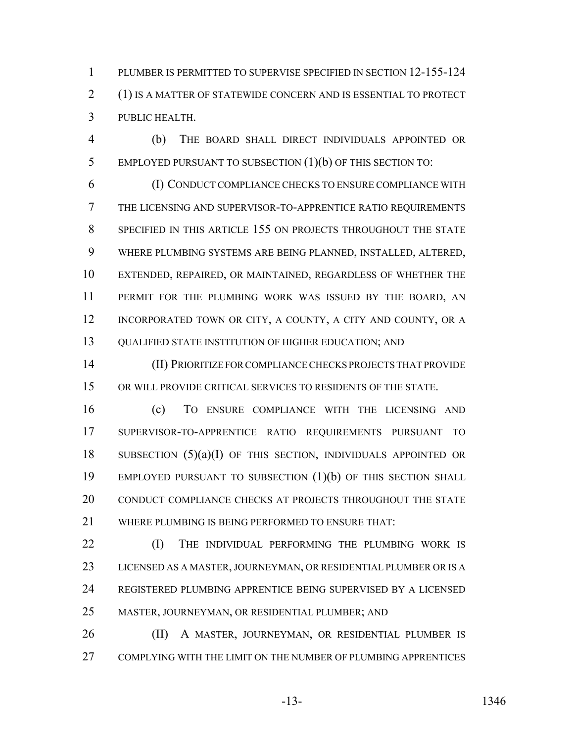PLUMBER IS PERMITTED TO SUPERVISE SPECIFIED IN SECTION 12-155-124 (1) IS A MATTER OF STATEWIDE CONCERN AND IS ESSENTIAL TO PROTECT PUBLIC HEALTH.

 (b) THE BOARD SHALL DIRECT INDIVIDUALS APPOINTED OR EMPLOYED PURSUANT TO SUBSECTION (1)(b) OF THIS SECTION TO:

 (I) CONDUCT COMPLIANCE CHECKS TO ENSURE COMPLIANCE WITH THE LICENSING AND SUPERVISOR-TO-APPRENTICE RATIO REQUIREMENTS SPECIFIED IN THIS ARTICLE 155 ON PROJECTS THROUGHOUT THE STATE WHERE PLUMBING SYSTEMS ARE BEING PLANNED, INSTALLED, ALTERED, EXTENDED, REPAIRED, OR MAINTAINED, REGARDLESS OF WHETHER THE PERMIT FOR THE PLUMBING WORK WAS ISSUED BY THE BOARD, AN 12 INCORPORATED TOWN OR CITY, A COUNTY, A CITY AND COUNTY, OR A 13 QUALIFIED STATE INSTITUTION OF HIGHER EDUCATION; AND

 (II) PRIORITIZE FOR COMPLIANCE CHECKS PROJECTS THAT PROVIDE OR WILL PROVIDE CRITICAL SERVICES TO RESIDENTS OF THE STATE.

 (c) TO ENSURE COMPLIANCE WITH THE LICENSING AND SUPERVISOR-TO-APPRENTICE RATIO REQUIREMENTS PURSUANT TO SUBSECTION (5)(a)(I) OF THIS SECTION, INDIVIDUALS APPOINTED OR EMPLOYED PURSUANT TO SUBSECTION (1)(b) OF THIS SECTION SHALL 20 CONDUCT COMPLIANCE CHECKS AT PROJECTS THROUGHOUT THE STATE WHERE PLUMBING IS BEING PERFORMED TO ENSURE THAT:

**(I)** THE INDIVIDUAL PERFORMING THE PLUMBING WORK IS LICENSED AS A MASTER, JOURNEYMAN, OR RESIDENTIAL PLUMBER OR IS A REGISTERED PLUMBING APPRENTICE BEING SUPERVISED BY A LICENSED MASTER, JOURNEYMAN, OR RESIDENTIAL PLUMBER; AND

26 (II) A MASTER, JOURNEYMAN, OR RESIDENTIAL PLUMBER IS COMPLYING WITH THE LIMIT ON THE NUMBER OF PLUMBING APPRENTICES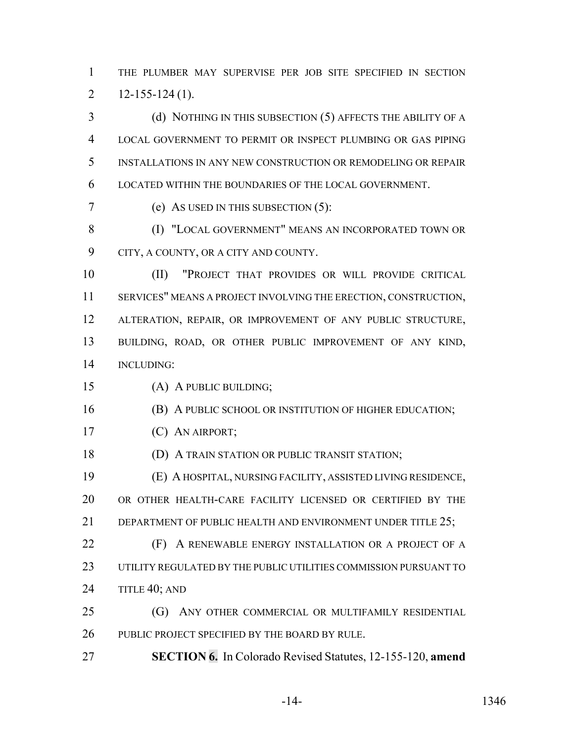THE PLUMBER MAY SUPERVISE PER JOB SITE SPECIFIED IN SECTION 2  $12-155-124(1)$ .

 (d) NOTHING IN THIS SUBSECTION (5) AFFECTS THE ABILITY OF A LOCAL GOVERNMENT TO PERMIT OR INSPECT PLUMBING OR GAS PIPING INSTALLATIONS IN ANY NEW CONSTRUCTION OR REMODELING OR REPAIR LOCATED WITHIN THE BOUNDARIES OF THE LOCAL GOVERNMENT.

(e) AS USED IN THIS SUBSECTION (5):

**(I) "LOCAL GOVERNMENT" MEANS AN INCORPORATED TOWN OR** CITY, A COUNTY, OR A CITY AND COUNTY.

 (II) "PROJECT THAT PROVIDES OR WILL PROVIDE CRITICAL SERVICES" MEANS A PROJECT INVOLVING THE ERECTION, CONSTRUCTION, ALTERATION, REPAIR, OR IMPROVEMENT OF ANY PUBLIC STRUCTURE, BUILDING, ROAD, OR OTHER PUBLIC IMPROVEMENT OF ANY KIND, INCLUDING:

(A) A PUBLIC BUILDING;

**(B)** A PUBLIC SCHOOL OR INSTITUTION OF HIGHER EDUCATION;

(C) AN AIRPORT;

**(D) A TRAIN STATION OR PUBLIC TRANSIT STATION;** 

 (E) A HOSPITAL, NURSING FACILITY, ASSISTED LIVING RESIDENCE, OR OTHER HEALTH-CARE FACILITY LICENSED OR CERTIFIED BY THE 21 DEPARTMENT OF PUBLIC HEALTH AND ENVIRONMENT UNDER TITLE 25:

**(F)** A RENEWABLE ENERGY INSTALLATION OR A PROJECT OF A UTILITY REGULATED BY THE PUBLIC UTILITIES COMMISSION PURSUANT TO 24 TITLE 40; AND

 (G) ANY OTHER COMMERCIAL OR MULTIFAMILY RESIDENTIAL PUBLIC PROJECT SPECIFIED BY THE BOARD BY RULE.

**SECTION 6.** In Colorado Revised Statutes, 12-155-120, **amend**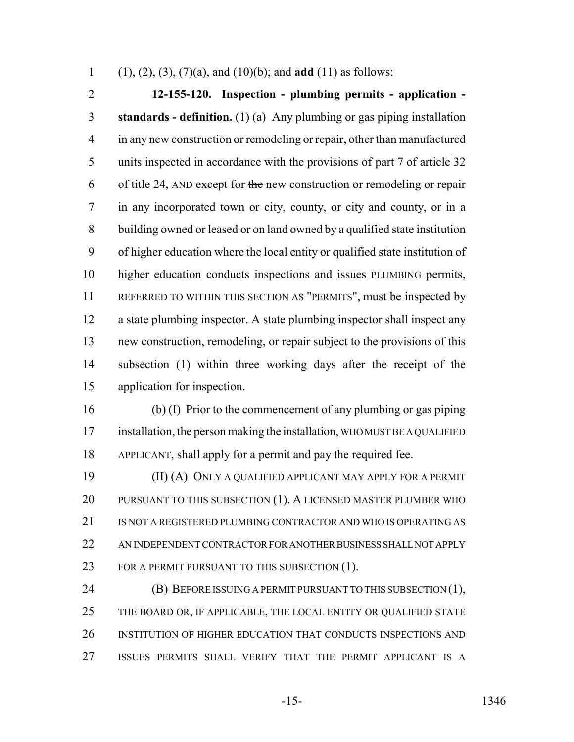(1), (2), (3), (7)(a), and (10)(b); and **add** (11) as follows:

 **12-155-120. Inspection - plumbing permits - application - standards - definition.** (1) (a) Any plumbing or gas piping installation in any new construction or remodeling or repair, other than manufactured units inspected in accordance with the provisions of part 7 of article 32 6 of title 24, AND except for the new construction or remodeling or repair in any incorporated town or city, county, or city and county, or in a building owned or leased or on land owned by a qualified state institution of higher education where the local entity or qualified state institution of higher education conducts inspections and issues PLUMBING permits, REFERRED TO WITHIN THIS SECTION AS "PERMITS", must be inspected by a state plumbing inspector. A state plumbing inspector shall inspect any new construction, remodeling, or repair subject to the provisions of this subsection (1) within three working days after the receipt of the application for inspection.

 (b) (I) Prior to the commencement of any plumbing or gas piping installation, the person making the installation, WHO MUST BE A QUALIFIED APPLICANT, shall apply for a permit and pay the required fee.

 (II) (A) ONLY A QUALIFIED APPLICANT MAY APPLY FOR A PERMIT 20 PURSUANT TO THIS SUBSECTION (1). A LICENSED MASTER PLUMBER WHO 21 IS NOT A REGISTERED PLUMBING CONTRACTOR AND WHO IS OPERATING AS AN INDEPENDENT CONTRACTOR FOR ANOTHER BUSINESS SHALL NOT APPLY 23 FOR A PERMIT PURSUANT TO THIS SUBSECTION (1).

**(B) BEFORE ISSUING A PERMIT PURSUANT TO THIS SUBSECTION (1),** 25 THE BOARD OR, IF APPLICABLE, THE LOCAL ENTITY OR QUALIFIED STATE INSTITUTION OF HIGHER EDUCATION THAT CONDUCTS INSPECTIONS AND ISSUES PERMITS SHALL VERIFY THAT THE PERMIT APPLICANT IS A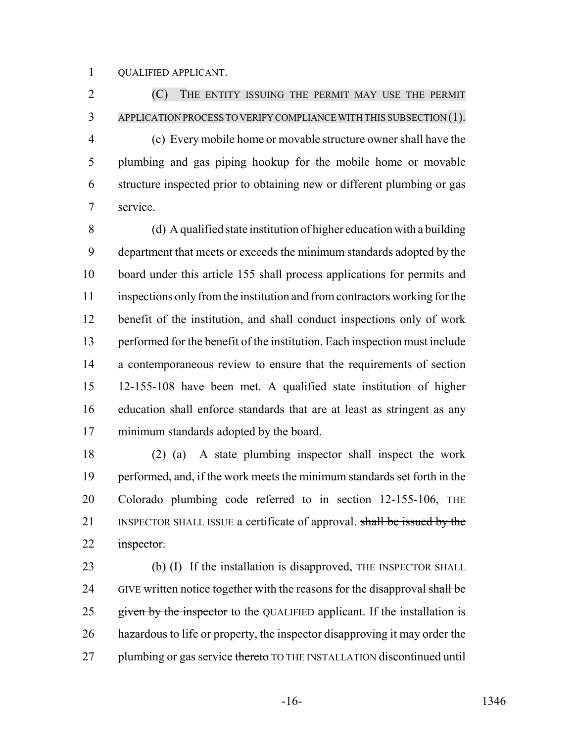QUALIFIED APPLICANT.

 (C) THE ENTITY ISSUING THE PERMIT MAY USE THE PERMIT APPLICATION PROCESS TO VERIFY COMPLIANCE WITH THIS SUBSECTION (1). (c) Every mobile home or movable structure owner shall have the plumbing and gas piping hookup for the mobile home or movable structure inspected prior to obtaining new or different plumbing or gas service.

 (d) A qualified state institution of higher education with a building department that meets or exceeds the minimum standards adopted by the board under this article 155 shall process applications for permits and inspections only from the institution and from contractors working for the benefit of the institution, and shall conduct inspections only of work performed for the benefit of the institution. Each inspection must include a contemporaneous review to ensure that the requirements of section 12-155-108 have been met. A qualified state institution of higher education shall enforce standards that are at least as stringent as any minimum standards adopted by the board.

 (2) (a) A state plumbing inspector shall inspect the work performed, and, if the work meets the minimum standards set forth in the Colorado plumbing code referred to in section 12-155-106, THE 21 INSPECTOR SHALL ISSUE a certificate of approval. shall be issued by the 22 inspector.

23 (b) (I) If the installation is disapproved, THE INSPECTOR SHALL 24 GIVE written notice together with the reasons for the disapproval shall be 25 given by the inspector to the QUALIFIED applicant. If the installation is hazardous to life or property, the inspector disapproving it may order the 27 plumbing or gas service thereto TO THE INSTALLATION discontinued until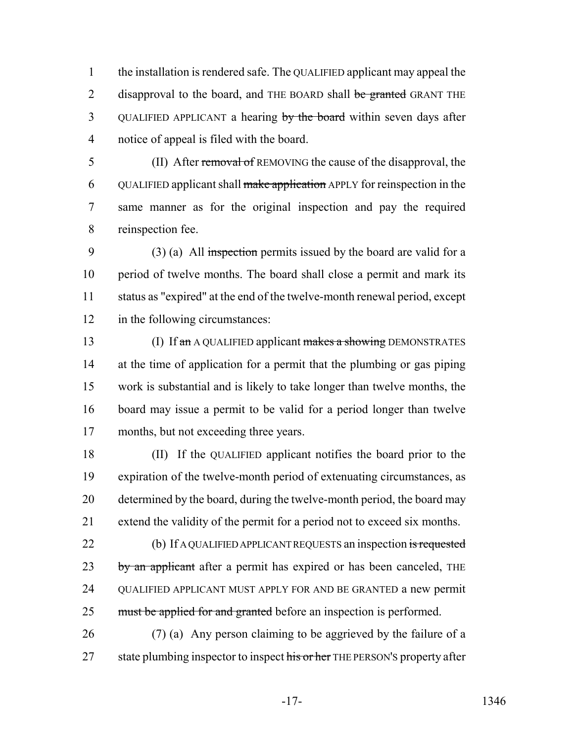1 the installation is rendered safe. The QUALIFIED applicant may appeal the 2 disapproval to the board, and THE BOARD shall be granted GRANT THE 3 QUALIFIED APPLICANT a hearing by the board within seven days after 4 notice of appeal is filed with the board.

5 (II) After removal of REMOVING the cause of the disapproval, the 6 QUALIFIED applicant shall make application APPLY for reinspection in the 7 same manner as for the original inspection and pay the required 8 reinspection fee.

9 (3) (a) All inspection permits issued by the board are valid for a 10 period of twelve months. The board shall close a permit and mark its 11 status as "expired" at the end of the twelve-month renewal period, except 12 in the following circumstances:

13 (I) If an A QUALIFIED applicant makes a showing DEMONSTRATES at the time of application for a permit that the plumbing or gas piping work is substantial and is likely to take longer than twelve months, the board may issue a permit to be valid for a period longer than twelve months, but not exceeding three years.

 (II) If the QUALIFIED applicant notifies the board prior to the expiration of the twelve-month period of extenuating circumstances, as determined by the board, during the twelve-month period, the board may extend the validity of the permit for a period not to exceed six months.

22 (b) If A QUALIFIED APPLICANT REQUESTS an inspection is requested 23 by an applicant after a permit has expired or has been canceled, THE 24 QUALIFIED APPLICANT MUST APPLY FOR AND BE GRANTED a new permit 25 must be applied for and granted before an inspection is performed.

26 (7) (a) Any person claiming to be aggrieved by the failure of a 27 state plumbing inspector to inspect his or her THE PERSON's property after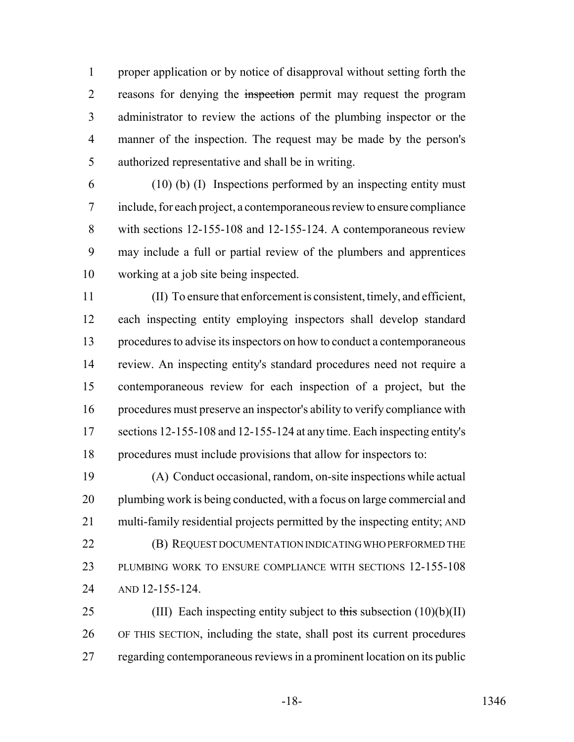proper application or by notice of disapproval without setting forth the 2 reasons for denying the inspection permit may request the program administrator to review the actions of the plumbing inspector or the manner of the inspection. The request may be made by the person's authorized representative and shall be in writing.

 (10) (b) (I) Inspections performed by an inspecting entity must include, for each project, a contemporaneous review to ensure compliance with sections 12-155-108 and 12-155-124. A contemporaneous review may include a full or partial review of the plumbers and apprentices working at a job site being inspected.

 (II) To ensure that enforcement is consistent, timely, and efficient, each inspecting entity employing inspectors shall develop standard procedures to advise its inspectors on how to conduct a contemporaneous review. An inspecting entity's standard procedures need not require a contemporaneous review for each inspection of a project, but the procedures must preserve an inspector's ability to verify compliance with sections 12-155-108 and 12-155-124 at any time. Each inspecting entity's procedures must include provisions that allow for inspectors to:

 (A) Conduct occasional, random, on-site inspections while actual 20 plumbing work is being conducted, with a focus on large commercial and multi-family residential projects permitted by the inspecting entity; AND **(B) REQUEST DOCUMENTATION INDICATING WHO PERFORMED THE**  PLUMBING WORK TO ENSURE COMPLIANCE WITH SECTIONS 12-155-108 AND 12-155-124.

25 (III) Each inspecting entity subject to this subsection  $(10)(b)(II)$  OF THIS SECTION, including the state, shall post its current procedures 27 regarding contemporaneous reviews in a prominent location on its public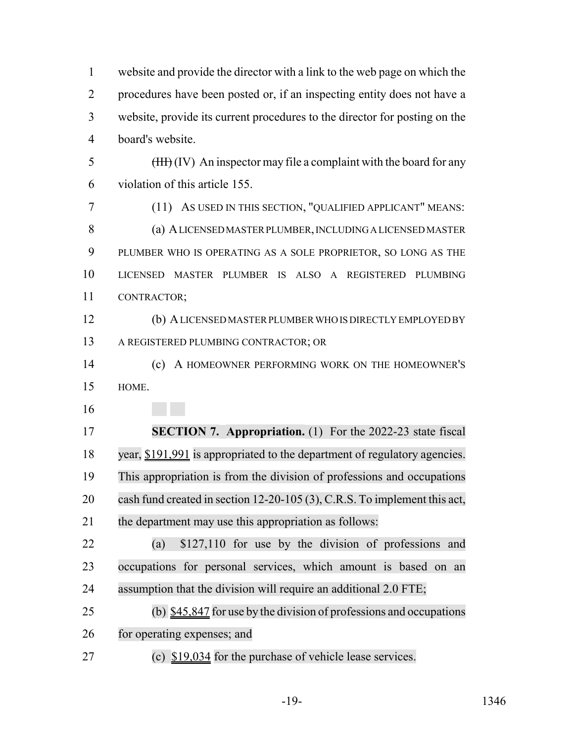website and provide the director with a link to the web page on which the procedures have been posted or, if an inspecting entity does not have a website, provide its current procedures to the director for posting on the board's website.  $\frac{1}{2}$  (IV) An inspector may file a complaint with the board for any violation of this article 155. (11) AS USED IN THIS SECTION, "QUALIFIED APPLICANT" MEANS: (a) A LICENSED MASTER PLUMBER, INCLUDING A LICENSED MASTER PLUMBER WHO IS OPERATING AS A SOLE PROPRIETOR, SO LONG AS THE LICENSED MASTER PLUMBER IS ALSO A REGISTERED PLUMBING CONTRACTOR; (b) A LICENSED MASTER PLUMBER WHO IS DIRECTLY EMPLOYED BY A REGISTERED PLUMBING CONTRACTOR; OR (c) A HOMEOWNER PERFORMING WORK ON THE HOMEOWNER'S HOME. **SECTION 7. Appropriation.** (1) For the 2022-23 state fiscal year, \$191,991 is appropriated to the department of regulatory agencies. This appropriation is from the division of professions and occupations cash fund created in section 12-20-105 (3), C.R.S. To implement this act, the department may use this appropriation as follows: (a) \$127,110 for use by the division of professions and occupations for personal services, which amount is based on an assumption that the division will require an additional 2.0 FTE; (b) \$45,847 for use by the division of professions and occupations for operating expenses; and (c) \$19,034 for the purchase of vehicle lease services.